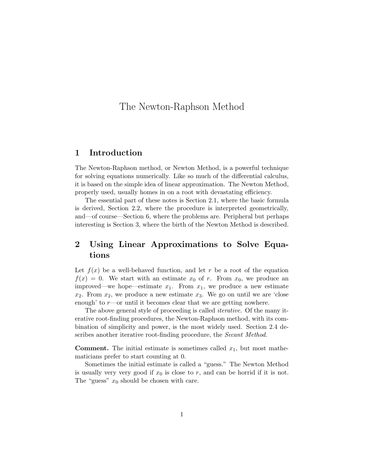# The Newton-Raphson Method

### **1 Introduction**

The Newton-Raphson method, or Newton Method, is a powerful technique for solving equations numerically. Like so much of the differential calculus, it is based on the simple idea of linear approximation. The Newton Method, properly used, usually homes in on a root with devastating efficiency.

The essential part of these notes is Section 2.1, where the basic formula is derived, Section 2.2, where the procedure is interpreted geometrically, and—of course—Section 6, where the problems are. Peripheral but perhaps interesting is Section 3, where the birth of the Newton Method is described.

## **2 Using Linear Approximations to Solve Equations**

Let  $f(x)$  be a well-behaved function, and let r be a root of the equation  $f(x) = 0$ . We start with an estimate  $x_0$  of r. From  $x_0$ , we produce an improved—we hope—estimate  $x_1$ . From  $x_1$ , we produce a new estimate  $x_2$ . From  $x_2$ , we produce a new estimate  $x_3$ . We go on until we are 'close enough' to  $r$ —or until it becomes clear that we are getting nowhere.

The above general style of proceeding is called *iterative*. Of the many iterative root-finding procedures, the Newton-Raphson method, with its combination of simplicity and power, is the most widely used. Section 2.4 describes another iterative root-finding procedure, the *Secant Method.* 

**Comment.** The initial estimate is sometimes called  $x_1$ , but most mathematicians prefer to start counting at 0.

Sometimes the initial estimate is called a "guess." The Newton Method is usually very very good if  $x_0$  is close to r, and can be horrid if it is not. The "guess"  $x_0$  should be chosen with care.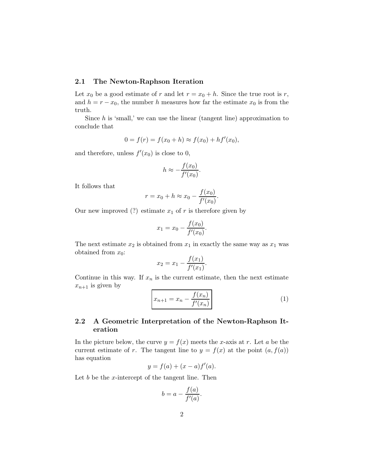#### **2.1 The Newton-Raphson Iteration**

Let  $x_0$  be a good estimate of r and let  $r = x_0 + h$ . Since the true root is r, and  $h = r - x_0$ , the number h measures how far the estimate  $x_0$  is from the truth.

Since  $h$  is 'small,' we can use the linear (tangent line) approximation to conclude that

$$
0 = f(r) = f(x_0 + h) \approx f(x_0) + h f'(x_0),
$$

and therefore, unless  $f'(x_0)$  is close to 0,

$$
h \approx -\frac{f(x_0)}{f'(x_0)}.
$$

It follows that

$$
r = x_0 + h \approx x_0 - \frac{f(x_0)}{f'(x_0)}
$$
.

Our new improved (?) estimate  $x_1$  of r is therefore given by

$$
x_1 = x_0 - \frac{f(x_0)}{f'(x_0)}.
$$

The next estimate  $x_2$  is obtained from  $x_1$  in exactly the same way as  $x_1$  was obtained from  $x_0$ :

$$
x_2 = x_1 - \frac{f(x_1)}{f'(x_1)}.
$$

Continue in this way. If  $x_n$  is the current estimate, then the next estimate  $x_{n+1}$  is given by

$$
x_{n+1} = x_n - \frac{f(x_n)}{f'(x_n)}
$$
 (1)

### **2.2 A Geometric Interpretation of the Newton-Raphson Iteration**

In the picture below, the curve  $y = f(x)$  meets the x-axis at r. Let a be the current estimate of r. The tangent line to  $y = f(x)$  at the point  $(a, f(a))$ has equation

$$
y = f(a) + (x - a)f'(a).
$$

Let  $b$  be the x-intercept of the tangent line. Then

$$
b = a - \frac{f(a)}{f'(a)}.
$$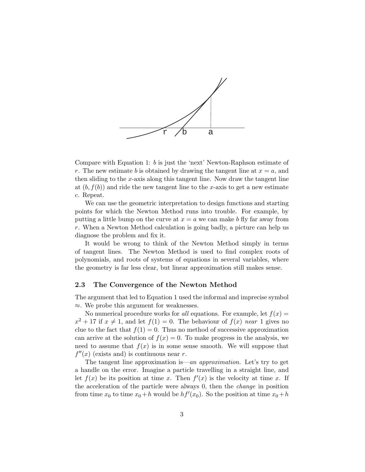

Compare with Equation 1: b is just the 'next' Newton-Raphson estimate of r. The new estimate b is obtained by drawing the tangent line at  $x = a$ , and then sliding to the x-axis along this tangent line. Now draw the tangent line at  $(b, f(b))$  and ride the new tangent line to the x-axis to get a new estimate c. Repeat.

We can use the geometric interpretation to design functions and starting points for which the Newton Method runs into trouble. For example, by putting a little bump on the curve at  $x = a$  we can make b fly far away from r. When a Newton Method calculation is going badly, a picture can help us diagnose the problem and fix it.

It would be wrong to think of the Newton Method simply in terms of tangent lines. The Newton Method is used to find complex roots of polynomials, and roots of systems of equations in several variables, where the geometry is far less clear, but linear approximation still makes sense.

#### **2.3 The Convergence of the Newton Method**

The argument that led to Equation 1 used the informal and imprecise symbol ≈. We probe this argument for weaknesses.

No numerical procedure works for all equations. For example, let  $f(x) =$  $x^2 + 17$  if  $x \neq 1$ , and let  $f(1) = 0$ . The behaviour of  $f(x)$  near 1 gives no clue to the fact that  $f(1) = 0$ . Thus no method of successive approximation can arrive at the solution of  $f(x) = 0$ . To make progress in the analysis, we need to assume that  $f(x)$  is in some sense smooth. We will suppose that  $f''(x)$  (exists and) is continuous near r.

The tangent line approximation is—an approximation. Let's try to get a handle on the error. Imagine a particle travelling in a straight line, and let  $f(x)$  be its position at time x. Then  $f'(x)$  is the velocity at time x. If the acceleration of the particle were always 0, then the change in position from time  $x_0$  to time  $x_0 + h$  would be  $hf'(x_0)$ . So the position at time  $x_0 + h$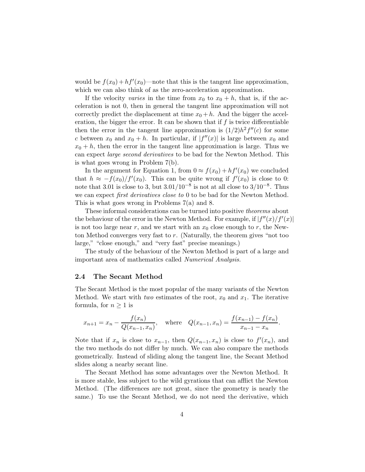would be  $f(x_0) + hf'(x_0)$ —note that this is the tangent line approximation, which we can also think of as the zero-acceleration approximation.

If the velocity varies in the time from  $x_0$  to  $x_0 + h$ , that is, if the acceleration is not 0, then in general the tangent line approximation will not correctly predict the displacement at time  $x_0 + h$ . And the bigger the acceleration, the bigger the error. It can be shown that if  $f$  is twice differentiable then the error in the tangent line approximation is  $(1/2)h^2f''(c)$  for some c between  $x_0$  and  $x_0 + h$ . In particular, if  $|f''(x)|$  is large between  $x_0$  and  $x_0 + h$ , then the error in the tangent line approximation is large. Thus we can expect large second derivatives to be bad for the Newton Method. This is what goes wrong in Problem 7(b).

In the argument for Equation 1, from  $0 \approx f(x_0) + hf'(x_0)$  we concluded that  $h \approx -f(x_0)/f'(x_0)$ . This can be quite wrong if  $f'(x_0)$  is close to 0: note that 3.01 is close to 3, but  $3.01/10^{-8}$  is not at all close to  $3/10^{-8}$ . Thus we can expect *first derivatives close to* 0 to be bad for the Newton Method. This is what goes wrong in Problems 7(a) and 8.

These informal considerations can be turned into positive theorems about the behaviour of the error in the Newton Method. For example, if  $|f''(x)/f'(x)|$ is not too large near r, and we start with an  $x_0$  close enough to r, the Newton Method converges very fast to  $r$ . (Naturally, the theorem gives "not too large," "close enough," and "very fast" precise meanings.)

The study of the behaviour of the Newton Method is part of a large and important area of mathematics called Numerical Analysis.

#### **2.4 The Secant Method**

The Secant Method is the most popular of the many variants of the Newton Method. We start with two estimates of the root,  $x_0$  and  $x_1$ . The iterative formula, for  $n \geq 1$  is

$$
x_{n+1} = x_n - \frac{f(x_n)}{Q(x_{n-1}, x_n)},
$$
 where  $Q(x_{n-1}, x_n) = \frac{f(x_{n-1}) - f(x_n)}{x_{n-1} - x_n}.$ 

Note that if  $x_n$  is close to  $x_{n-1}$ , then  $Q(x_{n-1}, x_n)$  is close to  $f'(x_n)$ , and the two methods do not differ by much. We can also compare the methods geometrically. Instead of sliding along the tangent line, the Secant Method slides along a nearby secant line.

The Secant Method has some advantages over the Newton Method. It is more stable, less subject to the wild gyrations that can afflict the Newton Method. (The differences are not great, since the geometry is nearly the same.) To use the Secant Method, we do not need the derivative, which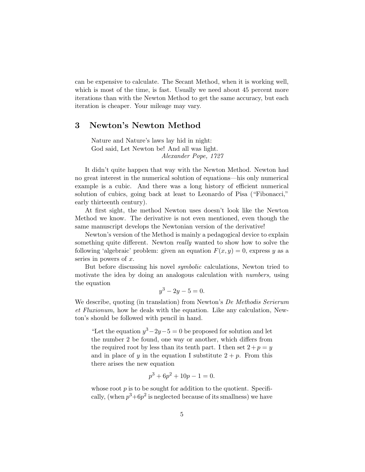can be expensive to calculate. The Secant Method, when it is working well, which is most of the time, is fast. Usually we need about 45 percent more iterations than with the Newton Method to get the same accuracy, but each iteration is cheaper. Your mileage may vary.

### **3 Newton's Newton Method**

Nature and Nature's laws lay hid in night: God said, Let Newton be! And all was light. Alexander Pope, 1727

It didn't quite happen that way with the Newton Method. Newton had no great interest in the numerical solution of equations—his only numerical example is a cubic. And there was a long history of efficient numerical solution of cubics, going back at least to Leonardo of Pisa ("Fibonacci," early thirteenth century).

At first sight, the method Newton uses doesn't look like the Newton Method we know. The derivative is not even mentioned, even though the same manuscript develops the Newtonian version of the derivative!

Newton's version of the Method is mainly a pedagogical device to explain something quite different. Newton really wanted to show how to solve the following 'algebraic' problem: given an equation  $F(x, y) = 0$ , express y as a series in powers of  $x$ .

But before discussing his novel *symbolic* calculations, Newton tried to motivate the idea by doing an analogous calculation with *numbers*, using the equation

$$
y^3 - 2y - 5 = 0.
$$

We describe, quoting (in translation) from Newton's De Methodis Serierum et Fluxionum, how he deals with the equation. Like any calculation, Newton's should be followed with pencil in hand.

"Let the equation  $y^3-2y-5=0$  be proposed for solution and let the number 2 be found, one way or another, which differs from the required root by less than its tenth part. I then set  $2+p = y$ and in place of y in the equation I substitute  $2 + p$ . From this there arises the new equation

$$
p^3 + 6p^2 + 10p - 1 = 0.
$$

whose root  $p$  is to be sought for addition to the quotient. Specifically, (when  $p^3+6p^2$  is neglected because of its smallness) we have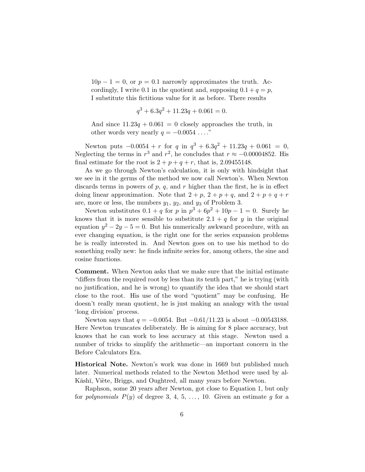$10p - 1 = 0$ , or  $p = 0.1$  narrowly approximates the truth. Accordingly, I write 0.1 in the quotient and, supposing  $0.1 + q = p$ , I substitute this fictitious value for it as before. There results

$$
q^3 + 6.3q^2 + 11.23q + 0.061 = 0.
$$

And since  $11.23q + 0.061 = 0$  closely approaches the truth, in other words very nearly  $q = -0.0054 \ldots$ ."

Newton puts  $-0.0054 + r$  for q in  $q^3 + 6.3q^2 + 11.23q + 0.061 = 0$ , Neglecting the terms in  $r^3$  and  $r^2$ , he concludes that  $r \approx -0.00004852$ . His final estimate for the root is  $2 + p + q + r$ , that is, 2.09455148.

As we go through Newton's calculation, it is only with hindsight that we see in it the germs of the method we now call Newton's. When Newton discards terms in powers of p, q, and r higher than the first, he is in effect doing linear approximation. Note that  $2 + p$ ,  $2 + p + q$ , and  $2 + p + q + r$ are, more or less, the numbers  $y_1, y_2$ , and  $y_3$  of Problem 3.

Newton substitutes  $0.1 + q$  for p in  $p^3 + 6p^2 + 10p - 1 = 0$ . Surely he knows that it is more sensible to substitute  $2.1 + q$  for y in the original equation  $y^2 - 2y - 5 = 0$ . But his numerically awkward procedure, with an ever changing equation, is the right one for the series expansion problems he is really interested in. And Newton goes on to use his method to do something really new: he finds infinite series for, among others, the sine and cosine functions.

**Comment.** When Newton asks that we make sure that the initial estimate "differs from the required root by less than its tenth part," he is trying (with no justification, and he is wrong) to quantify the idea that we should start close to the root. His use of the word "quotient" may be confusing. He doesn't really mean quotient, he is just making an analogy with the usual 'long division' process.

Newton says that  $q = -0.0054$ . But  $-0.61/11.23$  is about  $-0.00543188$ . Here Newton truncates deliberately. He is aiming for 8 place accuracy, but knows that he can work to less accuracy at this stage. Newton used a number of tricks to simplify the arithmetic—an important concern in the Before Calculators Era.

**Historical Note.** Newton's work was done in 1669 but published much later. Numerical methods related to the Newton Method were used by al-Kāshī, Viète, Briggs, and Oughtred, all many years before Newton.

Raphson, some 20 years after Newton, got close to Equation 1, but only for polynomials  $P(y)$  of degree 3, 4, 5, ..., 10. Given an estimate g for a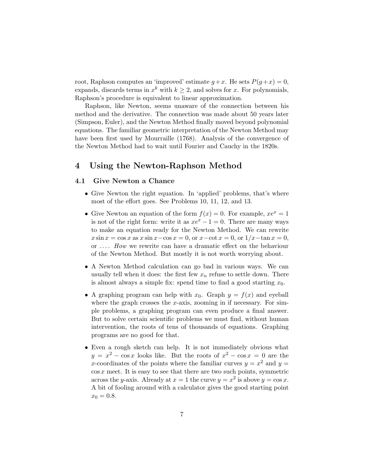root, Raphson computes an 'improved' estimate  $g+x$ . He sets  $P(g+x) = 0$ , expands, discards terms in  $x^k$  with  $k \geq 2$ , and solves for x. For polynomials, Raphson's procedure is equivalent to linear approximation.

Raphson, like Newton, seems unaware of the connection between his method and the derivative. The connection was made about 50 years later (Simpson, Euler), and the Newton Method finally moved beyond polynomial equations. The familiar geometric interpretation of the Newton Method may have been first used by Mourraille (1768). Analysis of the convergence of the Newton Method had to wait until Fourier and Cauchy in the 1820s.

### **4 Using the Newton-Raphson Method**

#### **4.1 Give Newton a Chance**

- Give Newton the right equation. In 'applied' problems, that's where most of the effort goes. See Problems 10, 11, 12, and 13.
- Give Newton an equation of the form  $f(x) = 0$ . For example,  $xe^{x} = 1$ is not of the right form: write it as  $xe^{x}-1=0$ . There are many ways to make an equation ready for the Newton Method. We can rewrite  $x \sin x = \cos x$  as  $x \sin x - \cos x = 0$ , or  $x - \cot x = 0$ , or  $1/x - \tan x = 0$ , or .. .. How we rewrite can have a dramatic effect on the behaviour of the Newton Method. But mostly it is not worth worrying about.
- A Newton Method calculation can go bad in various ways. We can usually tell when it does: the first few  $x_n$  refuse to settle down. There is almost always a simple fix: spend time to find a good starting  $x_0$ .
- A graphing program can help with  $x_0$ . Graph  $y = f(x)$  and eyeball where the graph crosses the  $x$ -axis, zooming in if necessary. For simple problems, a graphing program can even produce a final answer. But to solve certain scientific problems we must find, without human intervention, the roots of tens of thousands of equations. Graphing programs are no good for that.
- Even a rough sketch can help. It is not immediately obvious what  $y = x^2 - \cos x$  looks like. But the roots of  $x^2 - \cos x = 0$  are the x-coordinates of the points where the familiar curves  $y = x^2$  and  $y =$  $\cos x$  meet. It is easy to see that there are two such points, symmetric across the y-axis. Already at  $x = 1$  the curve  $y = x^2$  is above  $y = \cos x$ . A bit of fooling around with a calculator gives the good starting point  $x_0 = 0.8$ .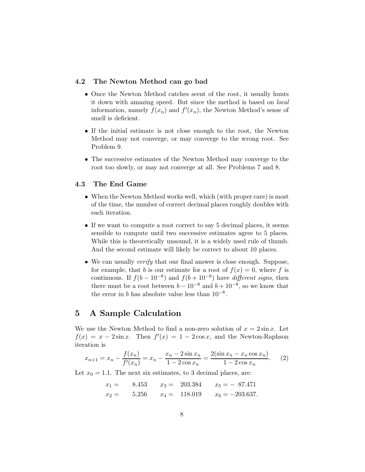#### **4.2 The Newton Method can go bad**

- Once the Newton Method catches scent of the root, it usually hunts it down with amazing speed. But since the method is based on local information, namely  $f(x_n)$  and  $f'(x_n)$ , the Newton Method's sense of smell is deficient.
- If the initial estimate is not close enough to the root, the Newton Method may not converge, or may converge to the wrong root. See Problem 9.
- The successive estimates of the Newton Method may converge to the root too slowly, or may not converge at all. See Problems 7 and 8.

#### **4.3 The End Game**

- When the Newton Method works well, which (with proper care) is most of the time, the number of correct decimal places roughly doubles with each iteration.
- If we want to compute a root correct to say 5 decimal places, it seems sensible to compute until two successive estimates agree to 5 places. While this is theoretically unsound, it is a widely used rule of thumb. And the second estimate will likely be correct to about 10 places.
- We can usually *verify* that our final answer is close enough. Suppose, for example, that b is our estimate for a root of  $f(x) = 0$ , where f is continuous. If  $f(b-10^{-8})$  and  $f(b+10^{-8})$  have different signs, then there must be a root between  $b - 10^{-8}$  and  $b + 10^{-8}$ , so we know that the error in b has absolute value less than  $10^{-8}$ .

### **5 A Sample Calculation**

We use the Newton Method to find a non-zero solution of  $x = 2\sin x$ . Let  $f(x) = x - 2\sin x$ . Then  $f'(x) = 1 - 2\cos x$ , and the Newton-Raphson iteration is

$$
x_{n+1} = x_n - \frac{f(x_n)}{f'(x_n)} = x_n - \frac{x_n - 2\sin x_n}{1 - 2\cos x_n} = \frac{2(\sin x_n - x_n \cos x_n)}{1 - 2\cos x_n}.
$$
 (2)

Let  $x_0 = 1.1$ . The next six estimates, to 3 decimal places, are:

$$
x_1 =
$$
 8.453  $x_3 =$  203.384  $x_5 =$  - 87.471  
\n $x_2 =$  5.256  $x_4 =$  118.019  $x_6 =$  -203.637.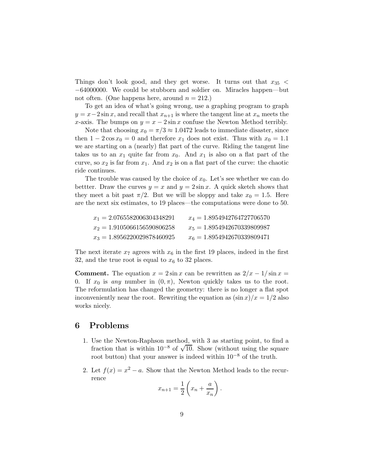Things don't look good, and they get worse. It turns out that  $x_{35}$  < −64000000. We could be stubborn and soldier on. Miracles happen—but not often. (One happens here, around  $n = 212$ .)

To get an idea of what's going wrong, use a graphing program to graph  $y = x-2\sin x$ , and recall that  $x_{n+1}$  is where the tangent line at  $x_n$  meets the x-axis. The bumps on  $y = x - 2\sin x$  confuse the Newton Method terribly.

Note that choosing  $x_0 = \pi/3 \approx 1.0472$  leads to immediate disaster, since then  $1 - 2\cos x_0 = 0$  and therefore  $x_1$  does not exist. Thus with  $x_0 = 1.1$ we are starting on a (nearly) flat part of the curve. Riding the tangent line takes us to an  $x_1$  quite far from  $x_0$ . And  $x_1$  is also on a flat part of the curve, so  $x_2$  is far from  $x_1$ . And  $x_2$  is on a flat part of the curve: the chaotic ride continues.

The trouble was caused by the choice of  $x_0$ . Let's see whether we can do bettter. Draw the curves  $y = x$  and  $y = 2\sin x$ . A quick sketch shows that they meet a bit past  $\pi/2$ . But we will be sloppy and take  $x_0 = 1.5$ . Here are the next six estimates, to 19 places—the computations were done to 50.

| $x_1 = 2.0765582006304348291$ | $x_4 = 1.8954942764727706570$ |
|-------------------------------|-------------------------------|
| $x_2 = 1.9105066156590806258$ | $x_5 = 1.8954942670339809987$ |
| $x_3 = 1.8956220029878460925$ | $x_6 = 1.8954942670339809471$ |

The next iterate  $x_7$  agrees with  $x_6$  in the first 19 places, indeed in the first 32, and the true root is equal to  $x<sub>6</sub>$  to 32 places.

**Comment.** The equation  $x = 2\sin x$  can be rewritten as  $2/x - 1/\sin x =$ 0. If  $x_0$  is any number in  $(0, \pi)$ , Newton quickly takes us to the root. The reformulation has changed the geometry: there is no longer a flat spot inconveniently near the root. Rewriting the equation as  $(\sin x)/x = 1/2$  also works nicely.

### **6 Problems**

- 1. Use the Newton-Raphson method, with 3 as starting point, to find a fraction that is within  $10^{-8}$  of  $\sqrt{10}$ . Show (without using the square root button) that your answer is indeed within  $10^{-8}$  of the truth.
- 2. Let  $f(x) = x^2 a$ . Show that the Newton Method leads to the recurrence

$$
x_{n+1} = \frac{1}{2} \left( x_n + \frac{a}{x_n} \right).
$$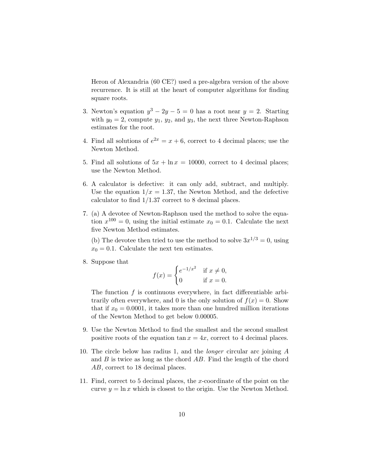Heron of Alexandria (60 CE?) used a pre-algebra version of the above recurrence. It is still at the heart of computer algorithms for finding square roots.

- 3. Newton's equation  $y^3 2y 5 = 0$  has a root near  $y = 2$ . Starting with  $y_0 = 2$ , compute  $y_1, y_2$ , and  $y_3$ , the next three Newton-Raphson estimates for the root.
- 4. Find all solutions of  $e^{2x} = x + 6$ , correct to 4 decimal places; use the Newton Method.
- 5. Find all solutions of  $5x + \ln x = 10000$ , correct to 4 decimal places; use the Newton Method.
- 6. A calculator is defective: it can only add, subtract, and multiply. Use the equation  $1/x = 1.37$ , the Newton Method, and the defective calculator to find 1/1.37 correct to 8 decimal places.
- 7. (a) A devotee of Newton-Raphson used the method to solve the equation  $x^{100} = 0$ , using the initial estimate  $x_0 = 0.1$ . Calculate the next five Newton Method estimates.

(b) The devotee then tried to use the method to solve  $3x^{1/3} = 0$ , using  $x_0 = 0.1$ . Calculate the next ten estimates.

8. Suppose that

$$
f(x) = \begin{cases} e^{-1/x^2} & \text{if } x \neq 0, \\ 0 & \text{if } x = 0. \end{cases}
$$

The function  $f$  is continuous everywhere, in fact differentiable arbitrarily often everywhere, and 0 is the only solution of  $f(x) = 0$ . Show that if  $x_0 = 0.0001$ , it takes more than one hundred million iterations of the Newton Method to get below 0.00005.

- 9. Use the Newton Method to find the smallest and the second smallest positive roots of the equation  $\tan x = 4x$ , correct to 4 decimal places.
- 10. The circle below has radius 1, and the longer circular arc joining A and  $B$  is twice as long as the chord  $AB$ . Find the length of the chord AB, correct to 18 decimal places.
- 11. Find, correct to 5 decimal places, the x-coordinate of the point on the curve  $y = \ln x$  which is closest to the origin. Use the Newton Method.